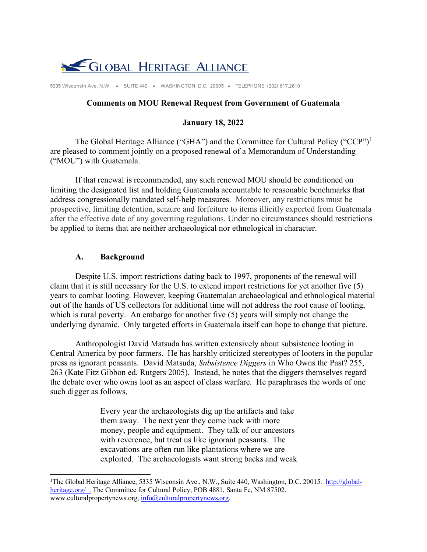

5335 Wisconsin Ave. N.W. • SUITE 440 • WASHINGTON, D.C. 20005 • TELEPHONE: (202) 617.2610

### **Comments on MOU Renewal Request from Government of Guatemala**

#### **January 18, 2022**

The Global Heritage Alliance ("GHA") and the Committee for Cultural Policy ("CCP")<sup>[1](#page-0-0)</sup> are pleased to comment jointly on a proposed renewal of a Memorandum of Understanding ("MOU") with Guatemala.

If that renewal is recommended, any such renewed MOU should be conditioned on limiting the designated list and holding Guatemala accountable to reasonable benchmarks that address congressionally mandated self-help measures. Moreover, any restrictions must be prospective, limiting detention, seizure and forfeiture to items illicitly exported from Guatemala after the effective date of any governing regulations. Under no circumstances should restrictions be applied to items that are neither archaeological nor ethnological in character.

#### **A. Background**

Despite U.S. import restrictions dating back to 1997, proponents of the renewal will claim that it is still necessary for the U.S. to extend import restrictions for yet another five (5) years to combat looting. However, keeping Guatemalan archaeological and ethnological material out of the hands of US collectors for additional time will not address the root cause of looting, which is rural poverty. An embargo for another five (5) years will simply not change the underlying dynamic. Only targeted efforts in Guatemala itself can hope to change that picture.

Anthropologist David Matsuda has written extensively about subsistence looting in Central America by poor farmers. He has harshly criticized stereotypes of looters in the popular press as ignorant peasants. David Matsuda, *Subsistence Diggers* in Who Owns the Past? 255, 263 (Kate Fitz Gibbon ed. Rutgers 2005). Instead, he notes that the diggers themselves regard the debate over who owns loot as an aspect of class warfare. He paraphrases the words of one such digger as follows,

> Every year the archaeologists dig up the artifacts and take them away. The next year they come back with more money, people and equipment. They talk of our ancestors with reverence, but treat us like ignorant peasants. The excavations are often run like plantations where we are exploited. The archaeologists want strong backs and weak

<span id="page-0-0"></span><sup>&</sup>lt;sup>1</sup>The Global Heritage Alliance, 5335 Wisconsin Ave., N.W., Suite 440, Washington, D.C. 20015. [http://global](http://global-heritage.org/)[heritage.org/](http://global-heritage.org/) . The Committee for Cultural Policy, POB 4881, Santa Fe, NM 87502. www.culturalpropertynews.org,  $info@culturalpropertynews.org$ .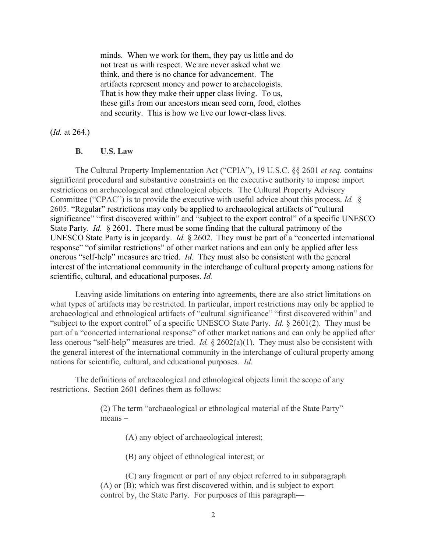minds. When we work for them, they pay us little and do not treat us with respect. We are never asked what we think, and there is no chance for advancement. The artifacts represent money and power to archaeologists. That is how they make their upper class living. To us, these gifts from our ancestors mean seed corn, food, clothes and security. This is how we live our lower-class lives.

#### (*Id.* at 264.)

#### **B. U.S. Law**

The Cultural Property Implementation Act ("CPIA"), 19 U.S.C. §§ 2601 *et seq.* contains significant procedural and substantive constraints on the executive authority to impose import restrictions on archaeological and ethnological objects. The Cultural Property Advisory Committee ("CPAC") is to provide the executive with useful advice about this process. *Id.* § 2605. "Regular" restrictions may only be applied to archaeological artifacts of "cultural significance" "first discovered within" and "subject to the export control" of a specific UNESCO State Party*. Id.* § 2601. There must be some finding that the cultural patrimony of the UNESCO State Party is in jeopardy. *Id.* § 2602. They must be part of a "concerted international response" "of similar restrictions" of other market nations and can only be applied after less onerous "self-help" measures are tried. *Id.* They must also be consistent with the general interest of the international community in the interchange of cultural property among nations for scientific, cultural, and educational purposes. *Id.* 

Leaving aside limitations on entering into agreements, there are also strict limitations on what types of artifacts may be restricted. In particular, import restrictions may only be applied to archaeological and ethnological artifacts of "cultural significance" "first discovered within" and "subject to the export control" of a specific UNESCO State Party. *Id.* § 2601(2). They must be part of a "concerted international response" of other market nations and can only be applied after less onerous "self-help" measures are tried. *Id.* § 2602(a)(1). They must also be consistent with the general interest of the international community in the interchange of cultural property among nations for scientific, cultural, and educational purposes. *Id.*

The definitions of archaeological and ethnological objects limit the scope of any restrictions. Section 2601 defines them as follows:

> (2) The term "archaeological or ethnological material of the State Party" means –

> > (A) any object of archaeological interest;

(B) any object of ethnological interest; or

(C) any fragment or part of any object referred to in subparagraph (A) or (B); which was first discovered within, and is subject to export control by, the State Party. For purposes of this paragraph—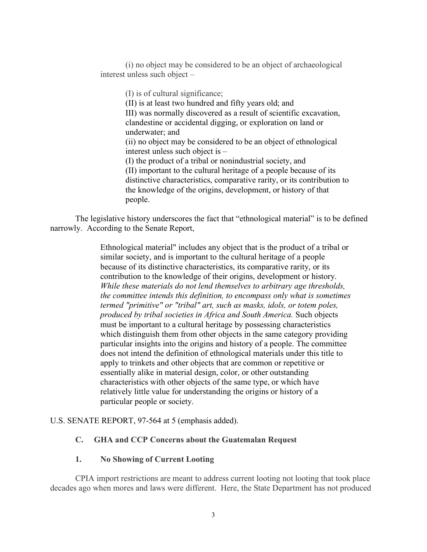(i) no object may be considered to be an object of archaeological interest unless such object –

> (I) is of cultural significance; (II) is at least two hundred and fifty years old; and III) was normally discovered as a result of scientific excavation, clandestine or accidental digging, or exploration on land or underwater; and (ii) no object may be considered to be an object of ethnological interest unless such object is – (I) the product of a tribal or nonindustrial society, and (II) important to the cultural heritage of a people because of its distinctive characteristics, comparative rarity, or its contribution to the knowledge of the origins, development, or history of that people.

The legislative history underscores the fact that "ethnological material" is to be defined narrowly. According to the Senate Report,

> Ethnological material" includes any object that is the product of a tribal or similar society, and is important to the cultural heritage of a people because of its distinctive characteristics, its comparative rarity, or its contribution to the knowledge of their origins, development or history. *While these materials do not lend themselves to arbitrary age thresholds, the committee intends this definition, to encompass only what is sometimes termed "primitive" or "tribal" art, such as masks, idols, or totem poles, produced by tribal societies in Africa and South America.* Such objects must be important to a cultural heritage by possessing characteristics which distinguish them from other objects in the same category providing particular insights into the origins and history of a people. The committee does not intend the definition of ethnological materials under this title to apply to trinkets and other objects that are common or repetitive or essentially alike in material design, color, or other outstanding characteristics with other objects of the same type, or which have relatively little value for understanding the origins or history of a particular people or society.

U.S. SENATE REPORT, 97-564 at 5 (emphasis added).

## **C. GHA and CCP Concerns about the Guatemalan Request**

## **1. No Showing of Current Looting**

CPIA import restrictions are meant to address current looting not looting that took place decades ago when mores and laws were different. Here, the State Department has not produced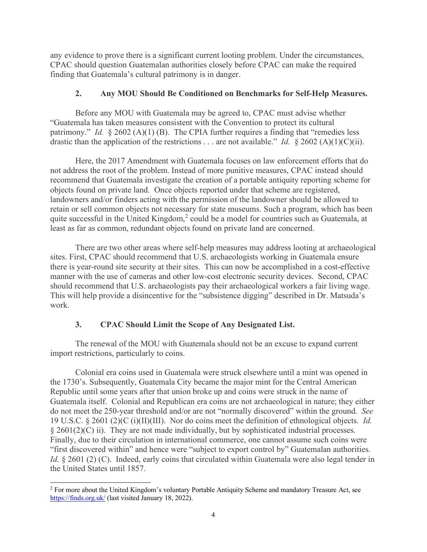any evidence to prove there is a significant current looting problem. Under the circumstances, CPAC should question Guatemalan authorities closely before CPAC can make the required finding that Guatemala's cultural patrimony is in danger.

## **2. Any MOU Should Be Conditioned on Benchmarks for Self-Help Measures.**

Before any MOU with Guatemala may be agreed to, CPAC must advise whether "Guatemala has taken measures consistent with the Convention to protect its cultural patrimony." *Id.* § 2602 (A)(1) (B). The CPIA further requires a finding that "remedies less drastic than the application of the restrictions . . . are not available." *Id.* § 2602 (A)(1)(C)(ii).

Here, the 2017 Amendment with Guatemala focuses on law enforcement efforts that do not address the root of the problem. Instead of more punitive measures, CPAC instead should recommend that Guatemala investigate the creation of a portable antiquity reporting scheme for objects found on private land. Once objects reported under that scheme are registered, landowners and/or finders acting with the permission of the landowner should be allowed to retain or sell common objects not necessary for state museums. Such a program, which has been quite successful in the United Kingdom,<sup>[2](#page-3-0)</sup> could be a model for countries such as Guatemala, at least as far as common, redundant objects found on private land are concerned.

There are two other areas where self-help measures may address looting at archaeological sites. First, CPAC should recommend that U.S. archaeologists working in Guatemala ensure there is year-round site security at their sites. This can now be accomplished in a cost-effective manner with the use of cameras and other low-cost electronic security devices. Second, CPAC should recommend that U.S. archaeologists pay their archaeological workers a fair living wage. This will help provide a disincentive for the "subsistence digging" described in Dr. Matsuda's work.

# **3. CPAC Should Limit the Scope of Any Designated List.**

The renewal of the MOU with Guatemala should not be an excuse to expand current import restrictions, particularly to coins.

Colonial era coins used in Guatemala were struck elsewhere until a mint was opened in the 1730's. Subsequently, Guatemala City became the major mint for the Central American Republic until some years after that union broke up and coins were struck in the name of Guatemala itself. Colonial and Republican era coins are not archaeological in nature; they either do not meet the 250-year threshold and/or are not "normally discovered" within the ground. *See*  19 U.S.C. § 2601 (2)(C (i)(II)(III). Nor do coins meet the definition of ethnological objects. *Id.*  $\S 2601(2)(C)$  ii). They are not made individually, but by sophisticated industrial processes. Finally, due to their circulation in international commerce, one cannot assume such coins were "first discovered within" and hence were "subject to export control by" Guatemalan authorities. *Id.* § 2601 (2) (C). Indeed, early coins that circulated within Guatemala were also legal tender in the United States until 1857.

<span id="page-3-0"></span><sup>&</sup>lt;sup>2</sup> For more about the United Kingdom's voluntary Portable Antiquity Scheme and mandatory Treasure Act, see <https://finds.org.uk/> (last visited January 18, 2022).